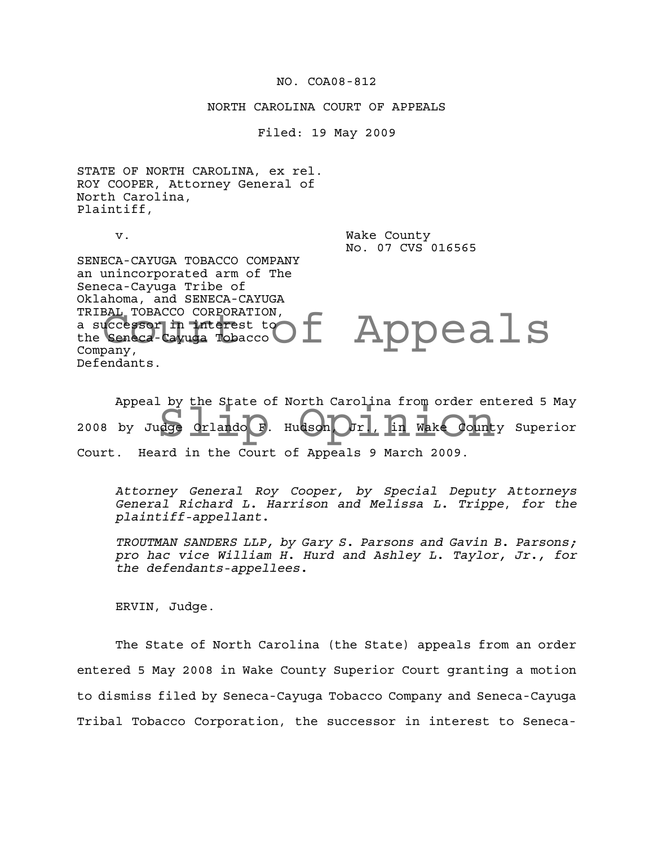### NO. COA08-812

### NORTH CAROLINA COURT OF APPEALS

Filed: 19 May 2009

STATE OF NORTH CAROLINA, ex rel. ROY COOPER, Attorney General of North Carolina, Plaintiff,

v. Wake County No. 07 CVS 016565

SENECA-CAYUGA TOBACCO COMPANY an unincorporated arm of The Seneca-Cayuga Tribe of Oklahoma, and SENECA-CAYUGA TRIBAL TOBACCO CORPORATION, a successor in interest to the Seneca-Cayuga Tobacco Company, Defendants.

t Appeals

Appeal by the State of North Carolina from order entered 5 May<br>by Judge orlando F. Hudson Orl, In Wake County Superior 2008 by Judge Orlando F. Hudson, Jr., in Wake County Superior Court. Heard in the Court of Appeals 9 March 2009.

*Attorney General Roy Cooper, by Special Deputy Attorneys General Richard L. Harrison and Melissa L. Trippe*, *for the plaintiff-appellant.*

*TROUTMAN SANDERS LLP, by Gary S. Parsons and Gavin B. Parsons; pro hac vice William H. Hurd and Ashley L. Taylor, Jr., for the defendants-appellees.*

ERVIN, Judge.

The State of North Carolina (the State) appeals from an order entered 5 May 2008 in Wake County Superior Court granting a motion to dismiss filed by Seneca-Cayuga Tobacco Company and Seneca-Cayuga Tribal Tobacco Corporation, the successor in interest to Seneca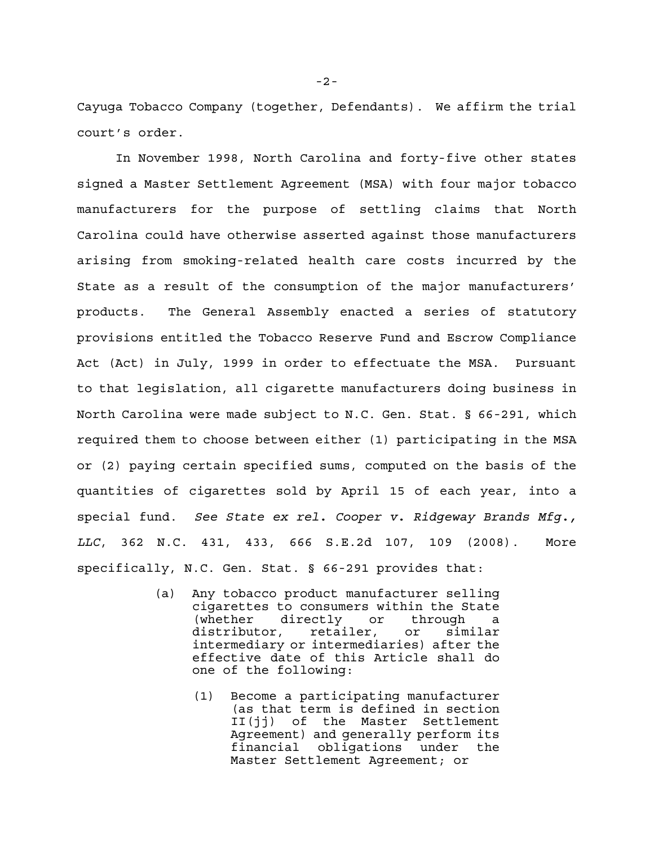Cayuga Tobacco Company (together, Defendants). We affirm the trial court's order.

In November 1998, North Carolina and forty-five other states signed a Master Settlement Agreement (MSA) with four major tobacco manufacturers for the purpose of settling claims that North Carolina could have otherwise asserted against those manufacturers arising from smoking-related health care costs incurred by the State as a result of the consumption of the major manufacturers' products. The General Assembly enacted a series of statutory provisions entitled the Tobacco Reserve Fund and Escrow Compliance Act (Act) in July, 1999 in order to effectuate the MSA. Pursuant to that legislation, all cigarette manufacturers doing business in North Carolina were made subject to N.C. Gen. Stat. § 66-291, which required them to choose between either (1) participating in the MSA or (2) paying certain specified sums, computed on the basis of the quantities of cigarettes sold by April 15 of each year, into a special fund. *See State ex rel. Cooper v. Ridgeway Brands Mfg., LLC*, 362 N.C. 431, 433, 666 S.E.2d 107, 109 (2008). More specifically, N.C. Gen. Stat. § 66-291 provides that:

- (a) Any tobacco product manufacturer selling cigarettes to consumers within the State (whether directly or through a distributor, retailer, or similar intermediary or intermediaries) after the effective date of this Article shall do one of the following:
	- (1) Become a participating manufacturer (as that term is defined in section II(jj) of the Master Settlement Agreement) and generally perform its financial obligations under the Master Settlement Agreement; or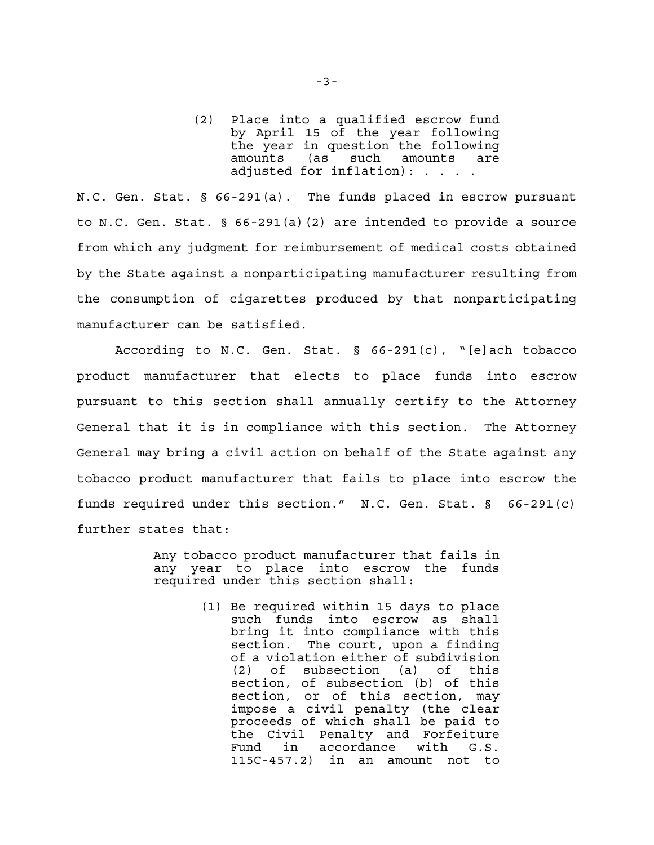(2) Place into a qualified escrow fund by April 15 of the year following the year in question the following amounts (as such amounts are adjusted for inflation): . . . .

N.C. Gen. Stat. § 66-291(a). The funds placed in escrow pursuant to N.C. Gen. Stat. § 66-291(a)(2) are intended to provide a source from which any judgment for reimbursement of medical costs obtained by the State against a nonparticipating manufacturer resulting from the consumption of cigarettes produced by that nonparticipating manufacturer can be satisfied.

According to N.C. Gen. Stat. § 66-291(c), "[e]ach tobacco product manufacturer that elects to place funds into escrow pursuant to this section shall annually certify to the Attorney General that it is in compliance with this section. The Attorney General may bring a civil action on behalf of the State against any tobacco product manufacturer that fails to place into escrow the funds required under this section." N.C. Gen. Stat. § 66-291(c) further states that:

> Any tobacco product manufacturer that fails in any year to place into escrow the funds required under this section shall:

> > (1) Be required within 15 days to place such funds into escrow as shall bring it into compliance with this section. The court, upon a finding of a violation either of subdivision (2) of subsection (a) of this section, of subsection (b) of this section, or of this section, may impose a civil penalty (the clear proceeds of which shall be paid to the Civil Penalty and Forfeiture<br>Fund in accordance with G.S. in accordance with G.S. 115C-457.2) in an amount not to

-3-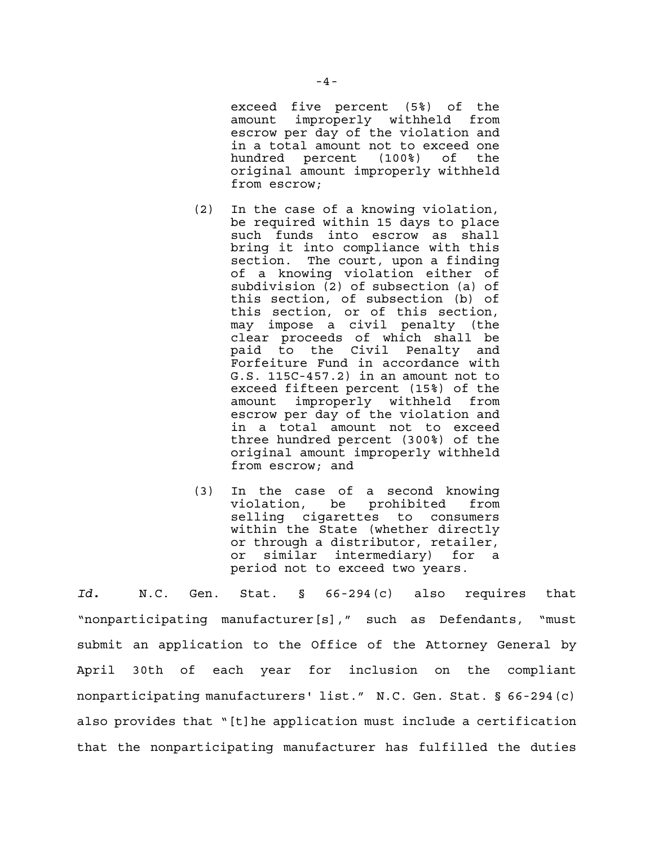exceed five percent (5%) of the amount improperly withheld from escrow per day of the violation and in a total amount not to exceed one hundred percent (100%) of the original amount improperly withheld from escrow;

- (2) In the case of a knowing violation, be required within 15 days to place such funds into escrow as shall bring it into compliance with this section. The court, upon a finding of a knowing violation either of subdivision (2) of subsection (a) of this section, of subsection (b) of this section, or of this section, may impose a civil penalty (the clear proceeds of which shall be paid to the Civil Penalty and Forfeiture Fund in accordance with G.S. 115C-457.2) in an amount not to exceed fifteen percent (15%) of the amount improperly withheld from escrow per day of the violation and in a total amount not to exceed three hundred percent (300%) of the original amount improperly withheld from escrow; and
- (3) In the case of a second knowing violation, be prohibited from selling cigarettes to consumers within the State (whether directly or through a distributor, retailer, or similar intermediary) for a period not to exceed two years.

*Id.* N.C. Gen. Stat. § 66-294(c) also requires that "nonparticipating manufacturer[s]," such as Defendants, "must submit an application to the Office of the Attorney General by April 30th of each year for inclusion on the compliant nonparticipating manufacturers' list." N.C. Gen. Stat. § 66-294(c) also provides that "[t]he application must include a certification that the nonparticipating manufacturer has fulfilled the duties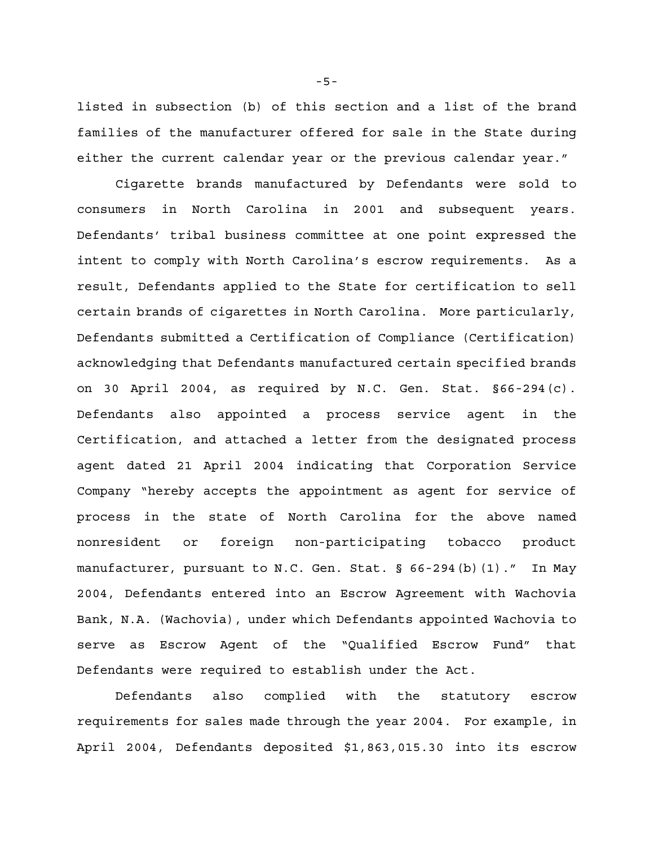listed in subsection (b) of this section and a list of the brand families of the manufacturer offered for sale in the State during either the current calendar year or the previous calendar year."

Cigarette brands manufactured by Defendants were sold to consumers in North Carolina in 2001 and subsequent years. Defendants' tribal business committee at one point expressed the intent to comply with North Carolina's escrow requirements. As a result, Defendants applied to the State for certification to sell certain brands of cigarettes in North Carolina. More particularly, Defendants submitted a Certification of Compliance (Certification) acknowledging that Defendants manufactured certain specified brands on 30 April 2004, as required by N.C. Gen. Stat. §66-294(c). Defendants also appointed a process service agent in the Certification, and attached a letter from the designated process agent dated 21 April 2004 indicating that Corporation Service Company "hereby accepts the appointment as agent for service of process in the state of North Carolina for the above named nonresident or foreign non-participating tobacco product manufacturer, pursuant to N.C. Gen. Stat. § 66-294(b)(1)." In May 2004, Defendants entered into an Escrow Agreement with Wachovia Bank, N.A. (Wachovia), under which Defendants appointed Wachovia to serve as Escrow Agent of the "Qualified Escrow Fund" that Defendants were required to establish under the Act.

Defendants also complied with the statutory escrow requirements for sales made through the year 2004. For example, in April 2004, Defendants deposited \$1,863,015.30 into its escrow

-5-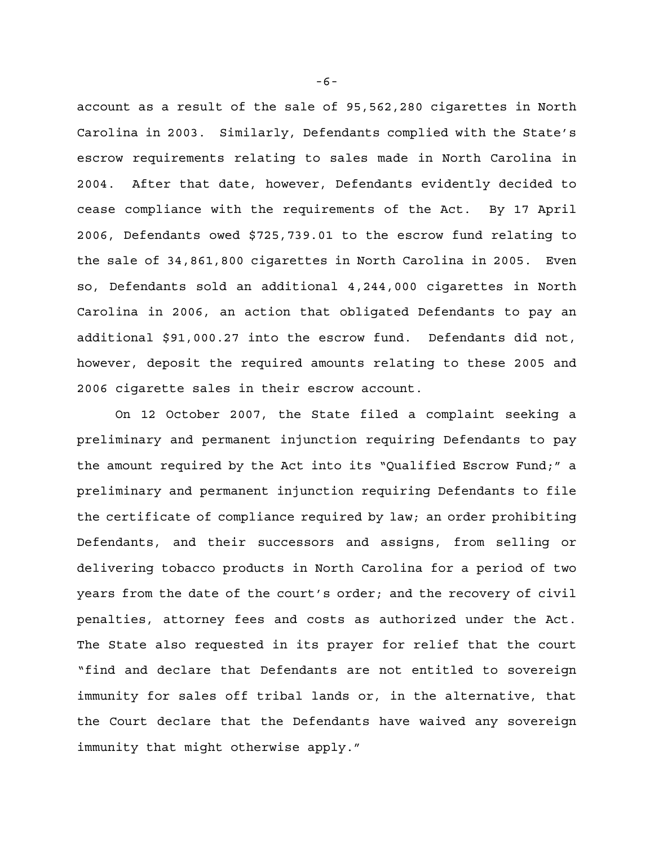account as a result of the sale of 95,562,280 cigarettes in North Carolina in 2003. Similarly, Defendants complied with the State's escrow requirements relating to sales made in North Carolina in 2004. After that date, however, Defendants evidently decided to cease compliance with the requirements of the Act. By 17 April 2006, Defendants owed \$725,739.01 to the escrow fund relating to the sale of 34,861,800 cigarettes in North Carolina in 2005. Even so, Defendants sold an additional 4,244,000 cigarettes in North Carolina in 2006, an action that obligated Defendants to pay an additional \$91,000.27 into the escrow fund. Defendants did not, however, deposit the required amounts relating to these 2005 and 2006 cigarette sales in their escrow account.

On 12 October 2007, the State filed a complaint seeking a preliminary and permanent injunction requiring Defendants to pay the amount required by the Act into its "Qualified Escrow Fund;" a preliminary and permanent injunction requiring Defendants to file the certificate of compliance required by law; an order prohibiting Defendants, and their successors and assigns, from selling or delivering tobacco products in North Carolina for a period of two years from the date of the court's order; and the recovery of civil penalties, attorney fees and costs as authorized under the Act. The State also requested in its prayer for relief that the court "find and declare that Defendants are not entitled to sovereign immunity for sales off tribal lands or, in the alternative, that the Court declare that the Defendants have waived any sovereign immunity that might otherwise apply."

-6-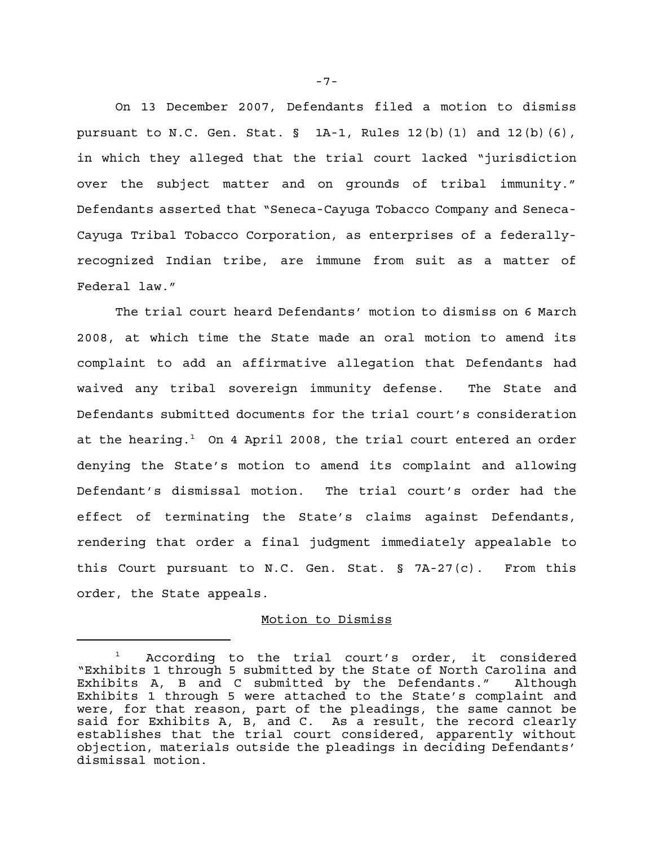On 13 December 2007, Defendants filed a motion to dismiss pursuant to N.C. Gen. Stat.  $\S$  1A-1, Rules 12(b)(1) and 12(b)(6), in which they alleged that the trial court lacked "jurisdiction over the subject matter and on grounds of tribal immunity." Defendants asserted that "Seneca-Cayuga Tobacco Company and Seneca-Cayuga Tribal Tobacco Corporation, as enterprises of a federallyrecognized Indian tribe, are immune from suit as a matter of Federal law."

The trial court heard Defendants' motion to dismiss on 6 March 2008, at which time the State made an oral motion to amend its complaint to add an affirmative allegation that Defendants had waived any tribal sovereign immunity defense. The State and Defendants submitted documents for the trial court's consideration at the hearing.<sup>1</sup> On 4 April 2008, the trial court entered an order denying the State's motion to amend its complaint and allowing Defendant's dismissal motion. The trial court's order had the effect of terminating the State's claims against Defendants, rendering that order a final judgment immediately appealable to this Court pursuant to N.C. Gen. Stat.  $\S$  7A-27(c). From this order, the State appeals.

### Motion to Dismiss

-7-

<sup>1</sup> According to the trial court's order, it considered "Exhibits 1 through 5 submitted by the State of North Carolina and Exhibits A, B and C submitted by the Defendants." Although Exhibits 1 through 5 were attached to the State's complaint and were, for that reason, part of the pleadings, the same cannot be said for Exhibits A, B, and C. As a result, the record clearly establishes that the trial court considered, apparently without objection, materials outside the pleadings in deciding Defendants' dismissal motion.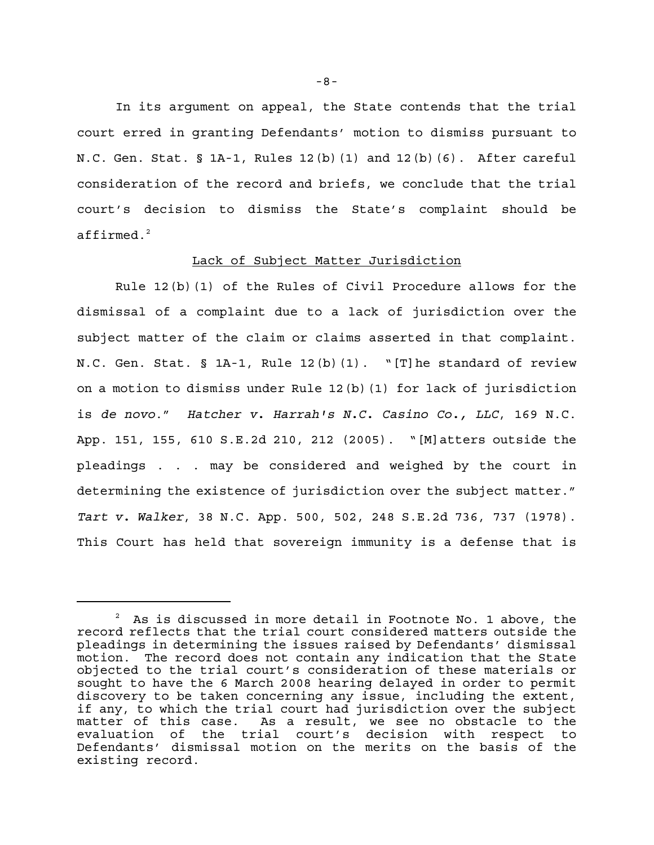In its argument on appeal, the State contends that the trial court erred in granting Defendants' motion to dismiss pursuant to N.C. Gen. Stat. § 1A-1, Rules 12(b)(1) and 12(b)(6). After careful consideration of the record and briefs, we conclude that the trial court's decision to dismiss the State's complaint should be affirmed.<sup>2</sup>

## Lack of Subject Matter Jurisdiction

Rule 12(b)(1) of the Rules of Civil Procedure allows for the dismissal of a complaint due to a lack of jurisdiction over the subject matter of the claim or claims asserted in that complaint. N.C. Gen. Stat. § 1A-1, Rule 12(b)(1). "[T]he standard of review on a motion to dismiss under Rule 12(b)(1) for lack of jurisdiction is *de novo*." *Hatcher v. Harrah's N.C. Casino Co., LLC*, 169 N.C. App. 151, 155, 610 S.E.2d 210, 212 (2005). "[M]atters outside the pleadings . . . may be considered and weighed by the court in determining the existence of jurisdiction over the subject matter." *Tart v. Walker*, 38 N.C. App. 500, 502, 248 S.E.2d 736, 737 (1978). This Court has held that sovereign immunity is a defense that is

<sup>2</sup> As is discussed in more detail in Footnote No. 1 above, the record reflects that the trial court considered matters outside the pleadings in determining the issues raised by Defendants' dismissal motion. The record does not contain any indication that the State objected to the trial court's consideration of these materials or sought to have the 6 March 2008 hearing delayed in order to permit discovery to be taken concerning any issue, including the extent, if any, to which the trial court had jurisdiction over the subject<br>matter of this case. As a result, we see no obstacle to the As a result, we see no obstacle to the evaluation of the trial court's decision with respect to Defendants' dismissal motion on the merits on the basis of the existing record.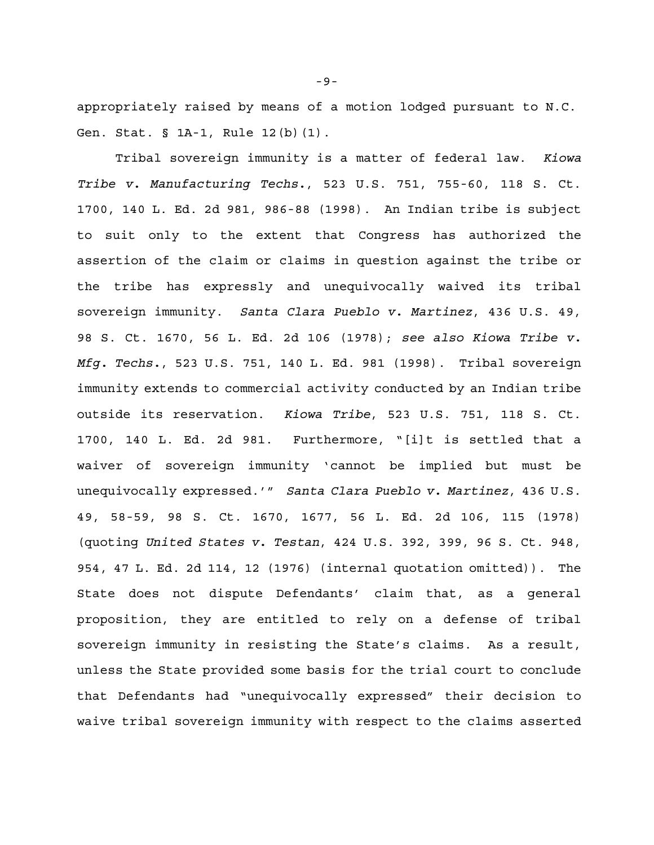appropriately raised by means of a motion lodged pursuant to N.C. Gen. Stat. § 1A-1, Rule 12(b)(1).

Tribal sovereign immunity is a matter of federal law. *Kiowa Tribe v. Manufacturing Techs.*, 523 U.S. 751, 755-60, 118 S. Ct. 1700, 140 L. Ed. 2d 981, 986-88 (1998). An Indian tribe is subject to suit only to the extent that Congress has authorized the assertion of the claim or claims in question against the tribe or the tribe has expressly and unequivocally waived its tribal sovereign immunity. *Santa Clara Pueblo v. Martinez*, 436 U.S. 49, 98 S. Ct. 1670, 56 L. Ed. 2d 106 (1978); *see also Kiowa Tribe v. Mfg. Techs.*, 523 U.S. 751, 140 L. Ed. 981 (1998). Tribal sovereign immunity extends to commercial activity conducted by an Indian tribe outside its reservation. *Kiowa Tribe*, 523 U.S. 751, 118 S. Ct. 1700, 140 L. Ed. 2d 981. Furthermore, "[i]t is settled that a waiver of sovereign immunity 'cannot be implied but must be unequivocally expressed.'" *Santa Clara Pueblo v. Martinez*, 436 U.S. 49, 58-59, 98 S. Ct. 1670, 1677, 56 L. Ed. 2d 106, 115 (1978) (quoting *United States v. Testan*, 424 U.S. 392, 399, 96 S. Ct. 948, 954, 47 L. Ed. 2d 114, 12 (1976) (internal quotation omitted)). The State does not dispute Defendants' claim that, as a general proposition, they are entitled to rely on a defense of tribal sovereign immunity in resisting the State's claims. As a result, unless the State provided some basis for the trial court to conclude that Defendants had "unequivocally expressed" their decision to waive tribal sovereign immunity with respect to the claims asserted

-9-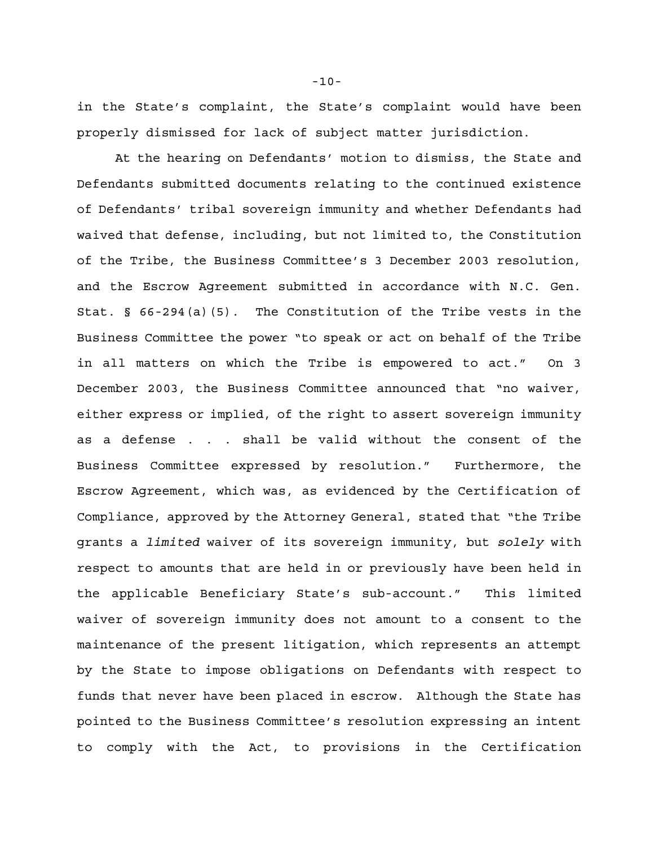in the State's complaint, the State's complaint would have been properly dismissed for lack of subject matter jurisdiction.

At the hearing on Defendants' motion to dismiss, the State and Defendants submitted documents relating to the continued existence of Defendants' tribal sovereign immunity and whether Defendants had waived that defense, including, but not limited to, the Constitution of the Tribe, the Business Committee's 3 December 2003 resolution, and the Escrow Agreement submitted in accordance with N.C. Gen. Stat. § 66-294(a)(5). The Constitution of the Tribe vests in the Business Committee the power "to speak or act on behalf of the Tribe in all matters on which the Tribe is empowered to act." On 3 December 2003, the Business Committee announced that "no waiver, either express or implied, of the right to assert sovereign immunity as a defense . . . shall be valid without the consent of the Business Committee expressed by resolution." Furthermore, the Escrow Agreement, which was, as evidenced by the Certification of Compliance, approved by the Attorney General, stated that "the Tribe grants a *limited* waiver of its sovereign immunity, but *solely* with respect to amounts that are held in or previously have been held in the applicable Beneficiary State's sub-account." This limited waiver of sovereign immunity does not amount to a consent to the maintenance of the present litigation, which represents an attempt by the State to impose obligations on Defendants with respect to funds that never have been placed in escrow. Although the State has pointed to the Business Committee's resolution expressing an intent to comply with the Act, to provisions in the Certification

-10-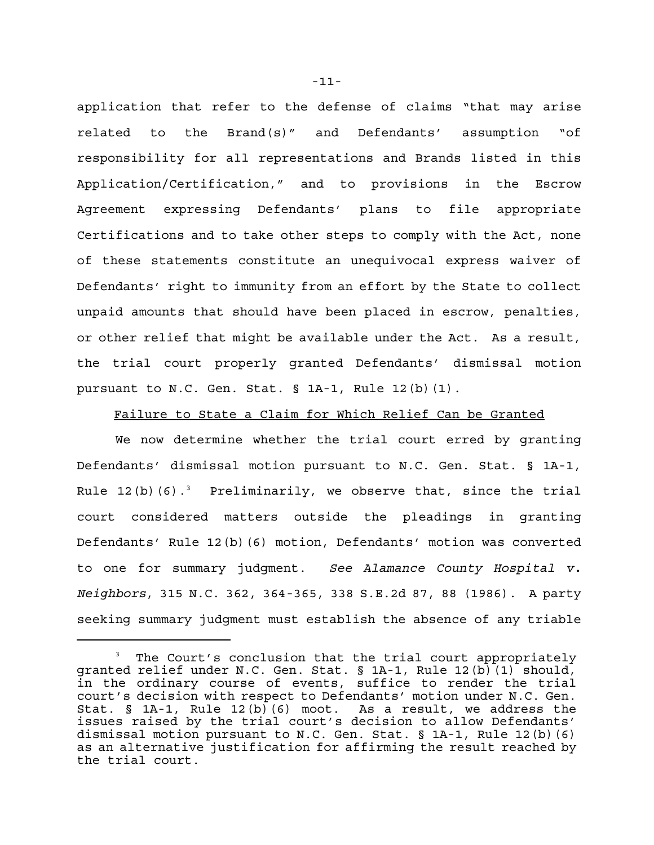application that refer to the defense of claims "that may arise related to the Brand(s)" and Defendants' assumption "of responsibility for all representations and Brands listed in this Application/Certification," and to provisions in the Escrow Agreement expressing Defendants' plans to file appropriate Certifications and to take other steps to comply with the Act, none of these statements constitute an unequivocal express waiver of Defendants' right to immunity from an effort by the State to collect unpaid amounts that should have been placed in escrow, penalties, or other relief that might be available under the Act. As a result, the trial court properly granted Defendants' dismissal motion pursuant to N.C. Gen. Stat. § 1A-1, Rule 12(b)(1).

## Failure to State a Claim for Which Relief Can be Granted

We now determine whether the trial court erred by granting Defendants' dismissal motion pursuant to N.C. Gen. Stat. § 1A-1, Rule 12(b)(6).<sup>3</sup> Preliminarily, we observe that, since the trial court considered matters outside the pleadings in granting Defendants' Rule 12(b)(6) motion, Defendants' motion was converted to one for summary judgment. *See Alamance County Hospital v. Neighbors*, 315 N.C. 362, 364-365, 338 S.E.2d 87, 88 (1986). A party seeking summary judgment must establish the absence of any triable

<sup>3</sup> The Court's conclusion that the trial court appropriately granted relief under N.C. Gen. Stat. § 1A-1, Rule 12(b)(1) should, in the ordinary course of events, suffice to render the trial court's decision with respect to Defendants' motion under N.C. Gen. Stat. § 1A-1, Rule 12(b)(6) moot. As a result, we address the issues raised by the trial court's decision to allow Defendants' dismissal motion pursuant to N.C. Gen. Stat.  $\S$  1A-1, Rule 12(b)(6) as an alternative justification for affirming the result reached by the trial court.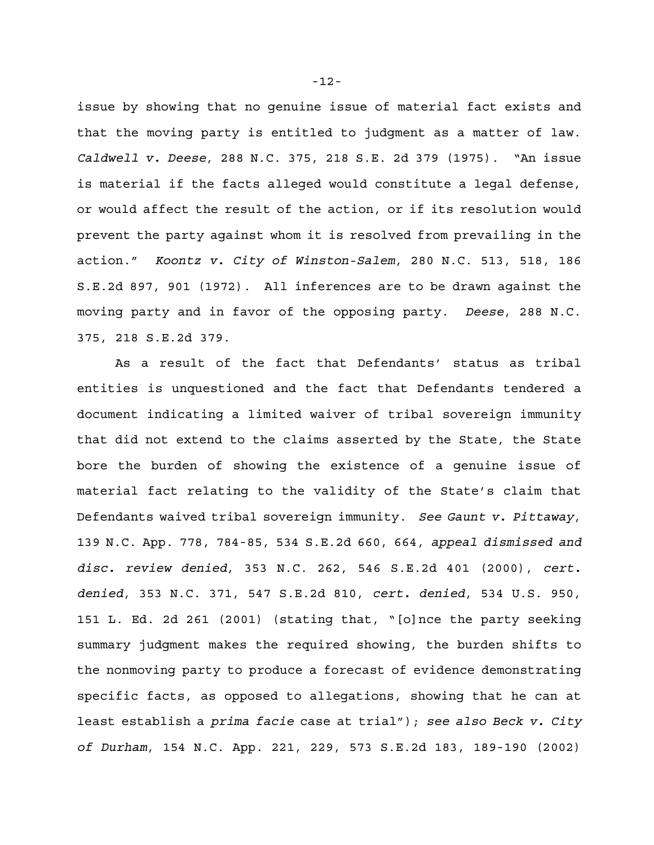issue by showing that no genuine issue of material fact exists and that the moving party is entitled to judgment as a matter of law. *Caldwell v. Deese*, 288 N.C. 375, 218 S.E. 2d 379 (1975). "An issue is material if the facts alleged would constitute a legal defense, or would affect the result of the action, or if its resolution would prevent the party against whom it is resolved from prevailing in the action." *Koontz v. City of Winston-Salem*, 280 N.C. 513, 518, 186 S.E.2d 897, 901 (1972). All inferences are to be drawn against the moving party and in favor of the opposing party. *Deese*, 288 N.C. 375, 218 S.E.2d 379.

As a result of the fact that Defendants' status as tribal entities is unquestioned and the fact that Defendants tendered a document indicating a limited waiver of tribal sovereign immunity that did not extend to the claims asserted by the State, the State bore the burden of showing the existence of a genuine issue of material fact relating to the validity of the State's claim that Defendants waived tribal sovereign immunity. *See Gaunt v. Pittaway*, 139 N.C. App. 778, 784-85, 534 S.E.2d 660, 664, *appeal dismissed and disc. review denied*, 353 N.C. 262, 546 S.E.2d 401 (2000), *cert. denied*, 353 N.C. 371, 547 S.E.2d 810, *cert. denied*, 534 U.S. 950, 151 L. Ed. 2d 261 (2001) (stating that, "[o]nce the party seeking summary judgment makes the required showing, the burden shifts to the nonmoving party to produce a forecast of evidence demonstrating specific facts, as opposed to allegations, showing that he can at least establish a *prima facie* case at trial"); *see also Beck v. City of Durham*, 154 N.C. App. 221, 229, 573 S.E.2d 183, 189-190 (2002)

-12-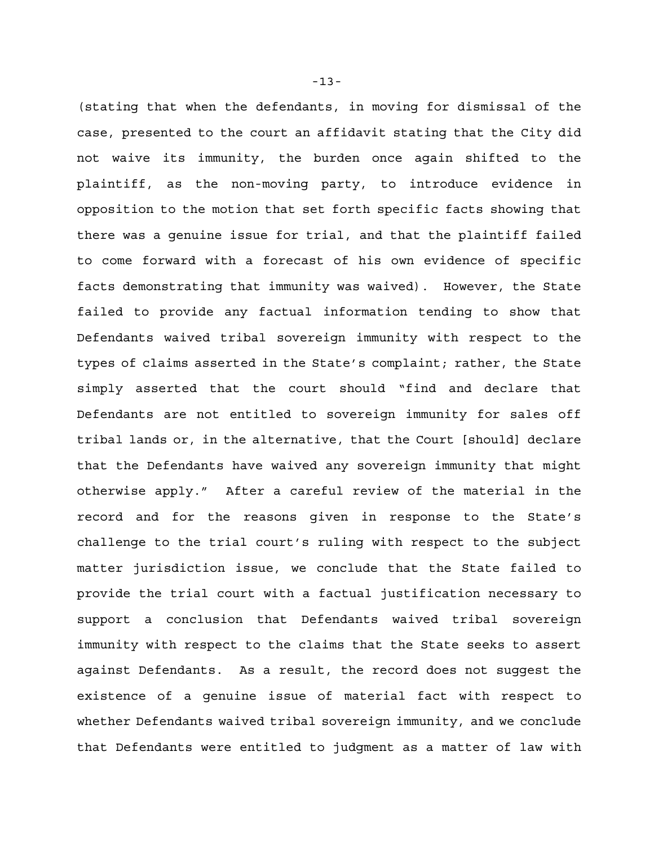(stating that when the defendants, in moving for dismissal of the case, presented to the court an affidavit stating that the City did not waive its immunity, the burden once again shifted to the plaintiff, as the non-moving party, to introduce evidence in opposition to the motion that set forth specific facts showing that there was a genuine issue for trial, and that the plaintiff failed to come forward with a forecast of his own evidence of specific facts demonstrating that immunity was waived). However, the State failed to provide any factual information tending to show that Defendants waived tribal sovereign immunity with respect to the types of claims asserted in the State's complaint; rather, the State simply asserted that the court should "find and declare that Defendants are not entitled to sovereign immunity for sales off tribal lands or, in the alternative, that the Court [should] declare that the Defendants have waived any sovereign immunity that might otherwise apply." After a careful review of the material in the record and for the reasons given in response to the State's challenge to the trial court's ruling with respect to the subject matter jurisdiction issue, we conclude that the State failed to provide the trial court with a factual justification necessary to support a conclusion that Defendants waived tribal sovereign immunity with respect to the claims that the State seeks to assert against Defendants. As a result, the record does not suggest the existence of a genuine issue of material fact with respect to whether Defendants waived tribal sovereign immunity, and we conclude that Defendants were entitled to judgment as a matter of law with